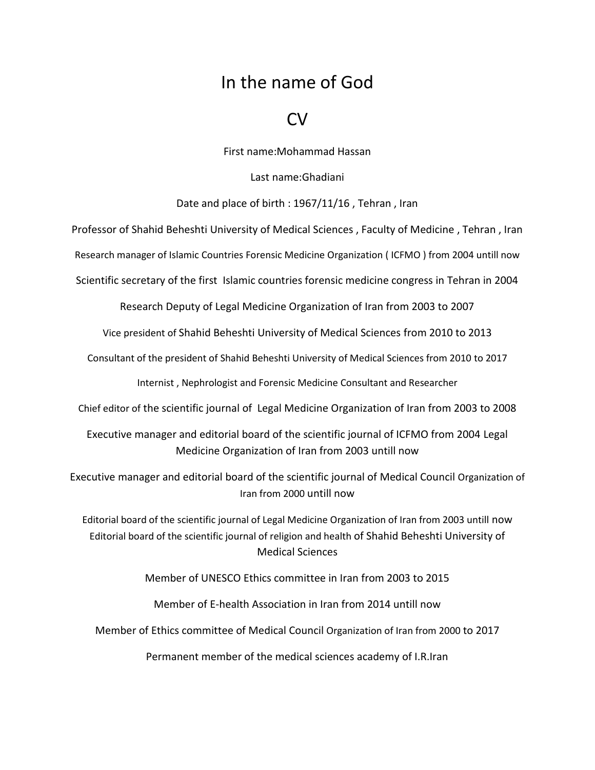## In the name of God

## CV

First name:Mohammad Hassan

Last name:Ghadiani

## Date and place of birth : 1967/11/16 , Tehran , Iran

Professor of Shahid Beheshti University of Medical Sciences , Faculty of Medicine , Tehran , Iran

Research manager of Islamic Countries Forensic Medicine Organization ( ICFMO ) from 2004 untill now

Scientific secretary of the first Islamic countries forensic medicine congress in Tehran in 2004

Research Deputy of Legal Medicine Organization of Iran from 2003 to 2007

Vice president of Shahid Beheshti University of Medical Sciences from 2010 to 2013

Consultant of the president of Shahid Beheshti University of Medical Sciences from 2010 to 2017

Internist , Nephrologist and Forensic Medicine Consultant and Researcher

Chief editor of the scientific journal of Legal Medicine Organization of Iran from 2003 to 2008

Executive manager and editorial board of the scientific journal of ICFMO from 2004 Legal Medicine Organization of Iran from 2003 untill now

Executive manager and editorial board of the scientific journal of Medical Council Organization of Iran from 2000 untill now

Editorial board of the scientific journal of Legal Medicine Organization of Iran from 2003 untill now Editorial board of the scientific journal of religion and health of Shahid Beheshti University of Medical Sciences

Member of UNESCO Ethics committee in Iran from 2003 to 2015

Member of E-health Association in Iran from 2014 untill now

Member of Ethics committee of Medical Council Organization of Iran from 2000 to 2017

Permanent member of the medical sciences academy of I.R.Iran